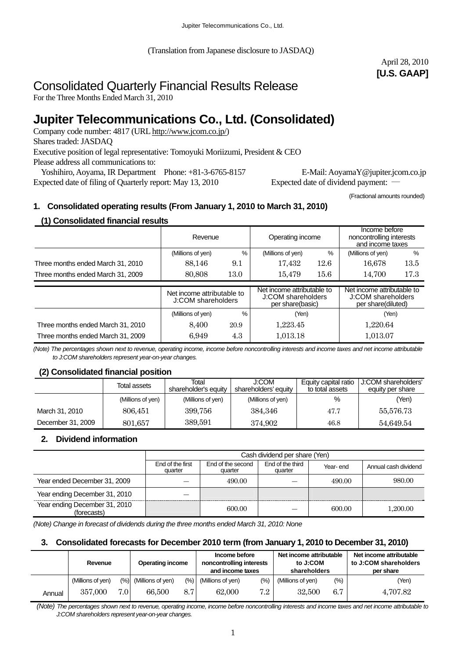(Translation from Japanese disclosure to JASDAQ)

April 28, 2010 **[U.S. GAAP]** 

# Consolidated Quarterly Financial Results Release

For the Three Months Ended March 31, 2010

# **Jupiter Telecommunications Co., Ltd. (Consolidated)**

Company code number: 4817 (URL [http://www.jcom.co.jp/](http://www.jcomxxxxxxxxx.co.jp/)) Shares traded: JASDAQ Executive position of legal representative: Tomoyuki Moriizumi, President & CEO Please address all communications to: Yoshihiro, Aoyama, IR Department Phone: +81-3-6765-8157 E-Mail: AoyamaY@jupiter.jcom.co.jp

Expected date of filing of Quarterly report: May 13, 2010 Expected date of dividend payment: ―

(Fractional amounts rounded)

## **1. Consolidated operating results (From January 1, 2010 to March 31, 2010)**

## **(1) Consolidated financial results**

|                                   | Revenue                                          |      | Operating income                                                     |      | Income before<br>noncontrolling interests<br>and income taxes          |      |
|-----------------------------------|--------------------------------------------------|------|----------------------------------------------------------------------|------|------------------------------------------------------------------------|------|
|                                   | (Millions of yen)                                | %    | (Millions of yen)                                                    | %    | (Millions of yen)                                                      | %    |
| Three months ended March 31, 2010 | 88,146                                           | 9.1  | 17,432                                                               | 12.6 | 16,678                                                                 | 13.5 |
| Three months ended March 31, 2009 | 80,808                                           | 13.0 | 15,479                                                               | 15.6 | 14.700                                                                 | 17.3 |
|                                   | Net income attributable to<br>J:COM shareholders |      |                                                                      |      |                                                                        |      |
|                                   |                                                  |      | Net income attributable to<br>J:COM shareholders<br>per share(basic) |      | Net income attributable to<br>J:COM shareholders<br>per share(diluted) |      |
|                                   | (Millions of yen)                                | $\%$ | (Yen)                                                                |      | (Yen)                                                                  |      |
| Three months ended March 31, 2010 | 8.400                                            | 20.9 | 1.223.45                                                             |      | 1.220.64                                                               |      |

*(Note) The percentages shown next to revenue, operating income, income before noncontrolling interests and income taxes and net income attributable to J:COM shareholders represent year-on-year changes.* 

#### **(2) Consolidated financial position**

|                   | Total assets      | J:COM<br>Total<br>shareholder's equity<br>shareholders' equity |                   | Equity capital ratio<br>to total assets | J:COM shareholders'<br>equity per share |  |
|-------------------|-------------------|----------------------------------------------------------------|-------------------|-----------------------------------------|-----------------------------------------|--|
|                   | (Millions of yen) | (Millions of yen)                                              | (Millions of yen) | %                                       | (Yen)                                   |  |
| March 31, 2010    | 806,451           | 399,756                                                        | 384,346           | 47.7                                    | 55,576.73                               |  |
| December 31, 2009 | 801,657           | 389,591                                                        | 374,902           | 46.8                                    | 54,649.54                               |  |

## **2. Dividend information**

|                                              | Cash dividend per share (Yen) |                              |                             |          |                      |  |
|----------------------------------------------|-------------------------------|------------------------------|-----------------------------|----------|----------------------|--|
|                                              | End of the first<br>quarter   | End of the second<br>quarter | End of the third<br>quarter | Year-end | Annual cash dividend |  |
| Year ended December 31, 2009                 |                               | 490.00                       |                             | 490.00   | 980.00               |  |
| Year ending December 31, 2010                |                               |                              |                             |          |                      |  |
| Year ending December 31, 2010<br>(forecasts) |                               | 600.00                       |                             | 600.00   | 1.200.00             |  |

*(Note) Change in forecast of dividends during the three months ended March 31, 2010: None* 

#### **3. Consolidated forecasts for December 2010 term (from January 1, 2010 to December 31, 2010)**

|        | Revenue           |     | <b>Operating income</b> |                  | Income before<br>noncontrolling interests<br>and income taxes |       | Net income attributable<br>to J:COM<br>shareholders |      | Net income attributable<br>to J:COM shareholders<br>per share |
|--------|-------------------|-----|-------------------------|------------------|---------------------------------------------------------------|-------|-----------------------------------------------------|------|---------------------------------------------------------------|
|        | (Millions of yen) |     | (%) (Millions of yen)   | $(\%)$           | (Millions of yen)                                             | (9/0) | (Millions of yen)                                   | (% ) | (Yen)                                                         |
| Annual | 357,000           | 7.0 | 66.500                  | 8.7 <sub>l</sub> | 62,000                                                        | 7.2   | 32.500                                              | 6.7  | 4.707.82                                                      |

 *(Note) The percentages shown next to revenue, operating income, income before noncontrolling interests and income taxes and net income attributable to J:COM shareholders represent year-on-year changes.*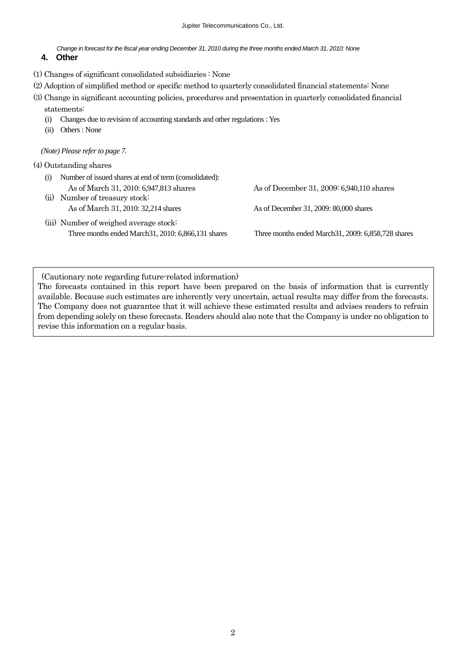*Change in forecast for the fiscal year ending December 31, 2010 during the three months ended March 31, 2010: None*

### **4. Other**

- (1) Changes of significant consolidated subsidiaries : None
- (2) Adoption of simplified method or specific method to quarterly consolidated financial statements: None
- (3) Change in significant accounting policies, procedures and presentation in quarterly consolidated financial

statements:

- (i) Changes due to revision of accounting standards and other regulations : Yes
- (ii) Others : None

*(Note) Please refer to page 7.* 

#### (4) Outstanding shares

- (i) Number of issued shares at end of term (consolidated): As of March 31, 2010: 6,947,813 shares As of December 31, 2009: 6,940,110 shares
- (ii) Number of treasury stock:
- (iii) Number of weighed average stock: Three months ended March31, 2010: 6,866,131 shares Three months ended March31, 2009: 6,858,728 shares

As of March 31, 2010: 32,214 shares As of December 31, 2009: 80,000 shares

(Cautionary note regarding future-related information)

The forecasts contained in this report have been prepared on the basis of information that is currently available. Because such estimates are inherently very uncertain, actual results may differ from the forecasts. The Company does not guarantee that it will achieve these estimated results and advises readers to refrain from depending solely on these forecasts. Readers should also note that the Company is under no obligation to revise this information on a regular basis.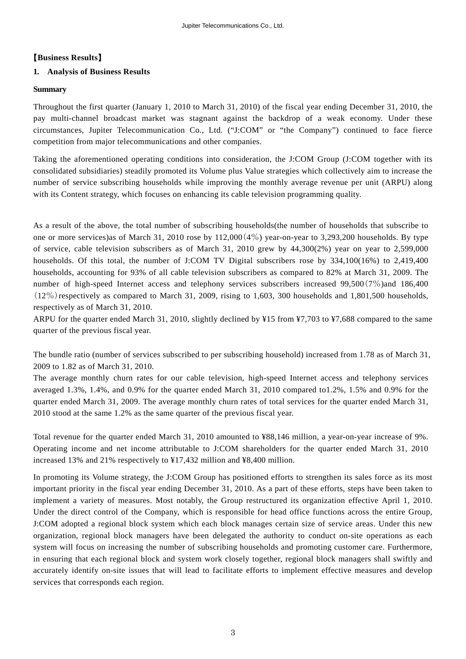## 【**Business Results**】

## **1. Analysis of Business Results**

#### **Summary**

Throughout the first quarter (January 1, 2010 to March 31, 2010) of the fiscal year ending December 31, 2010, the pay multi-channel broadcast market was stagnant against the backdrop of a weak economy. Under these circumstances, Jupiter Telecommunication Co., Ltd. ("J:COM" or "the Company") continued to face fierce competition from major telecommunications and other companies.

Taking the aforementioned operating conditions into consideration, the J:COM Group (J:COM together with its consolidated subsidiaries) steadily promoted its Volume plus Value strategies which collectively aim to increase the number of service subscribing households while improving the monthly average revenue per unit (ARPU) along with its Content strategy, which focuses on enhancing its cable television programming quality.

As a result of the above, the total number of subscribing households(the number of households that subscribe to one or more services)as of March 31, 2010 rose by 112,000(4%) year-on-year to 3,293,200 households. By type of service, cable television subscribers as of March 31, 2010 grew by 44,300(2%) year on year to 2,599,000 households. Of this total, the number of J:COM TV Digital subscribers rose by 334,100(16%) to 2,419,400 households, accounting for 93% of all cable television subscribers as compared to 82% at March 31, 2009. The number of high-speed Internet access and telephony services subscribers increased 99,500(7%)and 186,400  $(12\%)$  respectively as compared to March 31, 2009, rising to 1,603, 300 households and 1,801,500 households, respectively as of March 31, 2010.

ARPU for the quarter ended March 31, 2010, slightly declined by ¥15 from ¥7,703 to ¥7,688 compared to the same quarter of the previous fiscal year.

The bundle ratio (number of services subscribed to per subscribing household) increased from 1.78 as of March 31, 2009 to 1.82 as of March 31, 2010.

The average monthly churn rates for our cable television, high-speed Internet access and telephony services averaged 1.3%, 1.4%, and 0.9% for the quarter ended March 31, 2010 compared to1.2%, 1.5% and 0.9% for the quarter ended March 31, 2009. The average monthly churn rates of total services for the quarter ended March 31, 2010 stood at the same 1.2% as the same quarter of the previous fiscal year.

Total revenue for the quarter ended March 31, 2010 amounted to ¥88,146 million, a year-on-year increase of 9%. Operating income and net income attributable to J:COM shareholders for the quarter ended March 31, 2010 increased 13% and 21% respectively to ¥17,432 million and ¥8,400 million.

In promoting its Volume strategy, the J:COM Group has positioned efforts to strengthen its sales force as its most important priority in the fiscal year ending December 31, 2010. As a part of these efforts, steps have been taken to implement a variety of measures. Most notably, the Group restructured its organization effective April 1, 2010. Under the direct control of the Company, which is responsible for head office functions across the entire Group, J:COM adopted a regional block system which each block manages certain size of service areas. Under this new organization, regional block managers have been delegated the authority to conduct on-site operations as each system will focus on increasing the number of subscribing households and promoting customer care. Furthermore, in ensuring that each regional block and system work closely together, regional block managers shall swiftly and accurately identify on-site issues that will lead to facilitate efforts to implement effective measures and develop services that corresponds each region.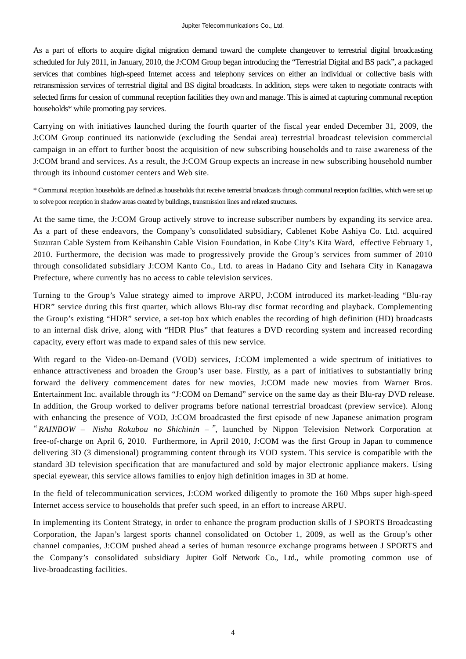As a part of efforts to acquire digital migration demand toward the complete changeover to terrestrial digital broadcasting scheduled for July 2011, in January, 2010, the J:COM Group began introducing the "Terrestrial Digital and BS pack", a packaged services that combines high-speed Internet access and telephony services on either an individual or collective basis with retransmission services of terrestrial digital and BS digital broadcasts. In addition, steps were taken to negotiate contracts with selected firms for cession of communal reception facilities they own and manage. This is aimed at capturing communal reception households\* while promoting pay services.

Carrying on with initiatives launched during the fourth quarter of the fiscal year ended December 31, 2009, the J:COM Group continued its nationwide (excluding the Sendai area) terrestrial broadcast television commercial campaign in an effort to further boost the acquisition of new subscribing households and to raise awareness of the J:COM brand and services. As a result, the J:COM Group expects an increase in new subscribing household number through its inbound customer centers and Web site.

\* Communal reception households are defined as households that receive terrestrial broadcasts through communal reception facilities, which were set up to solve poor reception in shadow areas created by buildings, transmission lines and related structures.

At the same time, the J:COM Group actively strove to increase subscriber numbers by expanding its service area. As a part of these endeavors, the Company's consolidated subsidiary, Cablenet Kobe Ashiya Co. Ltd. acquired Suzuran Cable System from Keihanshin Cable Vision Foundation, in Kobe City's Kita Ward, effective February 1, 2010. Furthermore, the decision was made to progressively provide the Group's services from summer of 2010 through consolidated subsidiary J:COM Kanto Co., Ltd. to areas in Hadano City and Isehara City in Kanagawa Prefecture, where currently has no access to cable television services.

Turning to the Group's Value strategy aimed to improve ARPU, J:COM introduced its market-leading "Blu-ray HDR" service during this first quarter, which allows Blu-ray disc format recording and playback. Complementing the Group's existing "HDR" service, a set-top box which enables the recording of high definition (HD) broadcasts to an internal disk drive, along with "HDR Plus" that features a DVD recording system and increased recording capacity, every effort was made to expand sales of this new service.

With regard to the Video-on-Demand (VOD) services, J:COM implemented a wide spectrum of initiatives to enhance attractiveness and broaden the Group's user base. Firstly, as a part of initiatives to substantially bring forward the delivery commencement dates for new movies, J:COM made new movies from Warner Bros. Entertainment Inc. available through its "J:COM on Demand" service on the same day as their Blu-ray DVD release. In addition, the Group worked to deliver programs before national terrestrial broadcast (preview service). Along with enhancing the presence of VOD, J:COM broadcasted the first episode of new Japanese animation program "RAINBOW – Nisha Rokubou no Shichinin –", launched by Nippon Television Network Corporation at free-of-charge on April 6, 2010. Furthermore, in April 2010, J:COM was the first Group in Japan to commence delivering 3D (3 dimensional) programming content through its VOD system. This service is compatible with the standard 3D television specification that are manufactured and sold by major electronic appliance makers. Using special eyewear, this service allows families to enjoy high definition images in 3D at home.

In the field of telecommunication services, J:COM worked diligently to promote the 160 Mbps super high-speed Internet access service to households that prefer such speed, in an effort to increase ARPU.

In implementing its Content Strategy, in order to enhance the program production skills of J SPORTS Broadcasting Corporation, the Japan's largest sports channel consolidated on October 1, 2009, as well as the Group's other channel companies, J:COM pushed ahead a series of human resource exchange programs between J SPORTS and the Company's consolidated subsidiary Jupiter Golf Network Co., Ltd., while promoting common use of live-broadcasting facilities.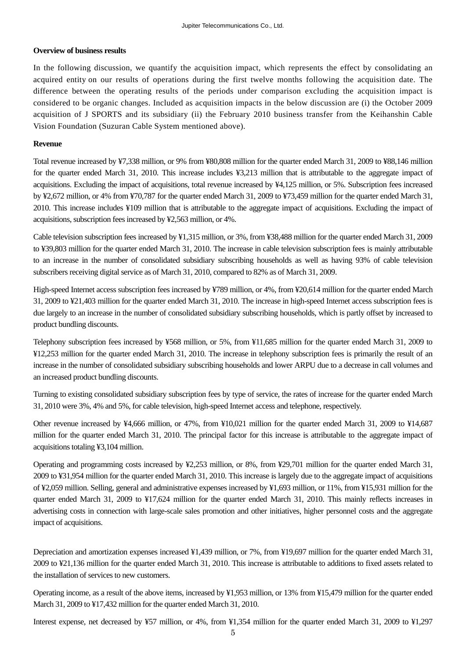#### **Overview of business results**

In the following discussion, we quantify the acquisition impact, which represents the effect by consolidating an acquired entity on our results of operations during the first twelve months following the acquisition date. The difference between the operating results of the periods under comparison excluding the acquisition impact is considered to be organic changes. Included as acquisition impacts in the below discussion are (i) the October 2009 acquisition of J SPORTS and its subsidiary (ii) the February 2010 business transfer from the Keihanshin Cable Vision Foundation (Suzuran Cable System mentioned above).

#### **Revenue**

Total revenue increased by ¥7,338 million, or 9% from ¥80,808 million for the quarter ended March 31, 2009 to ¥88,146 million for the quarter ended March 31, 2010. This increase includes ¥3,213 million that is attributable to the aggregate impact of acquisitions. Excluding the impact of acquisitions, total revenue increased by ¥4,125 million, or 5%. Subscription fees increased by ¥2,672 million, or 4% from ¥70,787 for the quarter ended March 31, 2009 to ¥73,459 million for the quarter ended March 31, 2010. This increase includes ¥109 million that is attributable to the aggregate impact of acquisitions. Excluding the impact of acquisitions, subscription fees increased by ¥2,563 million, or 4%.

Cable television subscription fees increased by ¥1,315 million, or 3%, from ¥38,488 million for the quarter ended March 31, 2009 to ¥39,803 million for the quarter ended March 31, 2010. The increase in cable television subscription fees is mainly attributable to an increase in the number of consolidated subsidiary subscribing households as well as having 93% of cable television subscribers receiving digital service as of March 31, 2010, compared to 82% as of March 31, 2009.

High-speed Internet access subscription fees increased by ¥789 million, or 4%, from ¥20,614 million for the quarter ended March 31, 2009 to ¥21,403 million for the quarter ended March 31, 2010. The increase in high-speed Internet access subscription fees is due largely to an increase in the number of consolidated subsidiary subscribing households, which is partly offset by increased to product bundling discounts.

Telephony subscription fees increased by ¥568 million, or 5%, from ¥11,685 million for the quarter ended March 31, 2009 to ¥12,253 million for the quarter ended March 31, 2010. The increase in telephony subscription fees is primarily the result of an increase in the number of consolidated subsidiary subscribing households and lower ARPU due to a decrease in call volumes and an increased product bundling discounts.

Turning to existing consolidated subsidiary subscription fees by type of service, the rates of increase for the quarter ended March 31, 2010 were 3%, 4% and 5%, for cable television, high-speed Internet access and telephone, respectively.

Other revenue increased by ¥4,666 million, or 47%, from ¥10,021 million for the quarter ended March 31, 2009 to ¥14,687 million for the quarter ended March 31, 2010. The principal factor for this increase is attributable to the aggregate impact of acquisitions totaling ¥3,104 million.

Operating and programming costs increased by ¥2,253 million, or 8%, from ¥29,701 million for the quarter ended March 31, 2009 to ¥31,954 million for the quarter ended March 31, 2010. This increase is largely due to the aggregate impact of acquisitions of ¥2,059 million. Selling, general and administrative expenses increased by ¥1,693 million, or 11%, from ¥15,931 million for the quarter ended March 31, 2009 to ¥17,624 million for the quarter ended March 31, 2010. This mainly reflects increases in advertising costs in connection with large-scale sales promotion and other initiatives, higher personnel costs and the aggregate impact of acquisitions.

Depreciation and amortization expenses increased ¥1,439 million, or 7%, from ¥19,697 million for the quarter ended March 31, 2009 to ¥21,136 million for the quarter ended March 31, 2010. This increase is attributable to additions to fixed assets related to the installation of services to new customers.

Operating income, as a result of the above items, increased by ¥1,953 million, or 13% from ¥15,479 million for the quarter ended March 31, 2009 to ¥17,432 million for the quarter ended March 31, 2010.

Interest expense, net decreased by ¥57 million, or 4%, from ¥1,354 million for the quarter ended March 31, 2009 to ¥1,297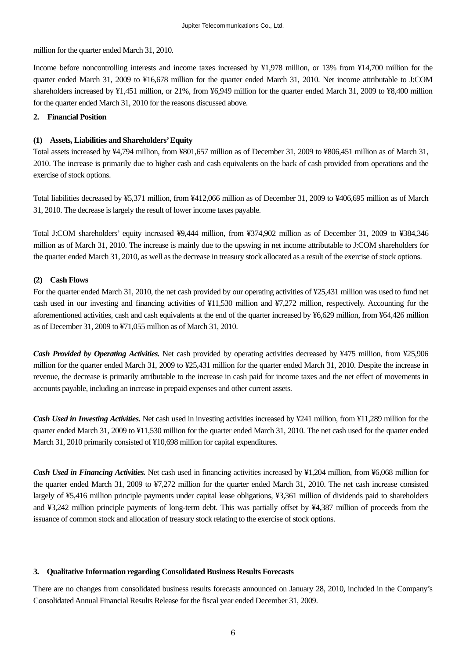million for the quarter ended March 31, 2010.

Income before noncontrolling interests and income taxes increased by ¥1,978 million, or 13% from ¥14,700 million for the quarter ended March 31, 2009 to ¥16,678 million for the quarter ended March 31, 2010. Net income attributable to J:COM shareholders increased by ¥1,451 million, or 21%, from ¥6,949 million for the quarter ended March 31, 2009 to ¥8,400 million for the quarter ended March 31, 2010 for the reasons discussed above.

#### **2. Financial Position**

#### **(1) Assets, Liabilities and Shareholders' Equity**

Total assets increased by ¥4,794 million, from ¥801,657 million as of December 31, 2009 to ¥806,451 million as of March 31, 2010. The increase is primarily due to higher cash and cash equivalents on the back of cash provided from operations and the exercise of stock options.

Total liabilities decreased by ¥5,371 million, from ¥412,066 million as of December 31, 2009 to ¥406,695 million as of March 31, 2010. The decrease is largely the result of lower income taxes payable.

Total J:COM shareholders' equity increased ¥9,444 million, from ¥374,902 million as of December 31, 2009 to ¥384,346 million as of March 31, 2010. The increase is mainly due to the upswing in net income attributable to J:COM shareholders for the quarter ended March 31, 2010, as well as the decrease in treasury stock allocated as a result of the exercise of stock options.

#### **(2) Cash Flows**

For the quarter ended March 31, 2010, the net cash provided by our operating activities of ¥25,431 million was used to fund net cash used in our investing and financing activities of ¥11,530 million and ¥7,272 million, respectively. Accounting for the aforementioned activities, cash and cash equivalents at the end of the quarter increased by ¥6,629 million, from ¥64,426 million as of December 31, 2009 to ¥71,055 million as of March 31, 2010.

*Cash Provided by Operating Activities.* Net cash provided by operating activities decreased by ¥475 million, from ¥25,906 million for the quarter ended March 31, 2009 to ¥25,431 million for the quarter ended March 31, 2010. Despite the increase in revenue, the decrease is primarily attributable to the increase in cash paid for income taxes and the net effect of movements in accounts payable, including an increase in prepaid expenses and other current assets.

*Cash Used in Investing Activities.* Net cash used in investing activities increased by ¥241 million, from ¥11,289 million for the quarter ended March 31, 2009 to ¥11,530 million for the quarter ended March 31, 2010. The net cash used for the quarter ended March 31, 2010 primarily consisted of ¥10,698 million for capital expenditures.

*Cash Used in Financing Activities.* Net cash used in financing activities increased by ¥1,204 million, from ¥6,068 million for the quarter ended March 31, 2009 to ¥7,272 million for the quarter ended March 31, 2010. The net cash increase consisted largely of ¥5,416 million principle payments under capital lease obligations, ¥3,361 million of dividends paid to shareholders and ¥3,242 million principle payments of long-term debt. This was partially offset by ¥4,387 million of proceeds from the issuance of common stock and allocation of treasury stock relating to the exercise of stock options.

#### **3. Qualitative Information regarding Consolidated Business Results Forecasts**

There are no changes from consolidated business results forecasts announced on January 28, 2010, included in the Company's Consolidated Annual Financial Results Release for the fiscal year ended December 31, 2009.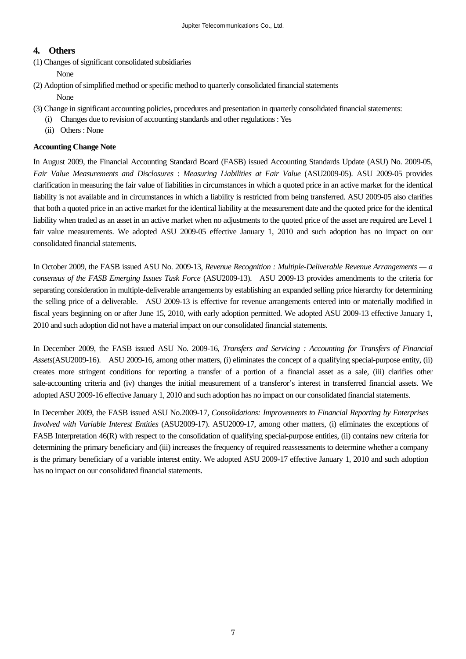## **4. Others**

(1) Changes of significant consolidated subsidiaries

None

(2) Adoption of simplified method or specific method to quarterly consolidated financial statements

None

- (3) Change in significant accounting policies, procedures and presentation in quarterly consolidated financial statements:
	- (i) Changes due to revision of accounting standards and other regulations : Yes
		- (ii) Others : None

#### **Accounting Change Note**

In August 2009, the Financial Accounting Standard Board (FASB) issued Accounting Standards Update (ASU) No. 2009-05, *Fair Value Measurements and Disclosures* : *Measuring Liabilities at Fair Value* (ASU2009-05). ASU 2009-05 provides clarification in measuring the fair value of liabilities in circumstances in which a quoted price in an active market for the identical liability is not available and in circumstances in which a liability is restricted from being transferred. ASU 2009-05 also clarifies that both a quoted price in an active market for the identical liability at the measurement date and the quoted price for the identical liability when traded as an asset in an active market when no adjustments to the quoted price of the asset are required are Level 1 fair value measurements. We adopted ASU 2009-05 effective January 1, 2010 and such adoption has no impact on our consolidated financial statements.

In October 2009, the FASB issued ASU No. 2009-13, *Revenue Recognition : Multiple-Deliverable Revenue Arrangements — a consensus of the FASB Emerging Issues Task Force* (ASU2009-13). ASU 2009-13 provides amendments to the criteria for separating consideration in multiple-deliverable arrangements by establishing an expanded selling price hierarchy for determining the selling price of a deliverable. ASU 2009-13 is effective for revenue arrangements entered into or materially modified in fiscal years beginning on or after June 15, 2010, with early adoption permitted. We adopted ASU 2009-13 effective January 1, 2010 and such adoption did not have a material impact on our consolidated financial statements.

In December 2009, the FASB issued ASU No. 2009-16, *Transfers and Servicing : Accounting for Transfers of Financial Assets*(ASU2009-16). ASU 2009-16, among other matters, (i) eliminates the concept of a qualifying special-purpose entity, (ii) creates more stringent conditions for reporting a transfer of a portion of a financial asset as a sale, (iii) clarifies other sale-accounting criteria and (iv) changes the initial measurement of a transferor's interest in transferred financial assets. We adopted ASU 2009-16 effective January 1, 2010 and such adoption has no impact on our consolidated financial statements.

In December 2009, the FASB issued ASU No.2009-17, *Consolidations: Improvements to Financial Reporting by Enterprises Involved with Variable Interest Entities* (ASU2009-17). ASU2009-17, among other matters, (i) eliminates the exceptions of FASB Interpretation 46(R) with respect to the consolidation of qualifying special-purpose entities, (ii) contains new criteria for determining the primary beneficiary and (iii) increases the frequency of required reassessments to determine whether a company is the primary beneficiary of a variable interest entity. We adopted ASU 2009-17 effective January 1, 2010 and such adoption has no impact on our consolidated financial statements.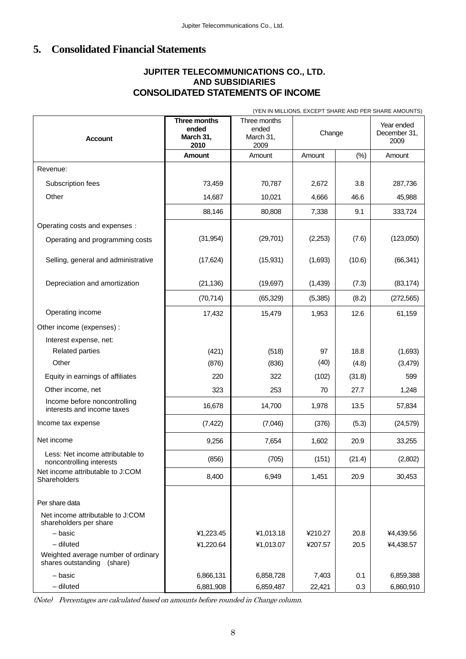## **5. Consolidated Financial Statements**

## **JUPITER TELECOMMUNICATIONS CO., LTD. AND SUBSIDIARIES CONSOLIDATED STATEMENTS OF INCOME**

|                                                                              | (YEN IN MILLIONS, EXCEPT SHARE AND PER SHARE AMOUNTS) |                                            |         |                                    |            |
|------------------------------------------------------------------------------|-------------------------------------------------------|--------------------------------------------|---------|------------------------------------|------------|
| <b>Account</b>                                                               | Three months<br>ended<br>March 31,<br>2010            | Three months<br>ended<br>March 31,<br>2009 | Change  | Year ended<br>December 31,<br>2009 |            |
|                                                                              | Amount                                                | Amount                                     | Amount  | (%)                                | Amount     |
| Revenue:                                                                     |                                                       |                                            |         |                                    |            |
| Subscription fees                                                            | 73,459                                                | 70,787                                     | 2,672   | 3.8                                | 287,736    |
| Other                                                                        | 14,687                                                | 10,021                                     | 4,666   | 46.6                               | 45,988     |
|                                                                              | 88,146                                                | 80,808                                     | 7,338   | 9.1                                | 333,724    |
| Operating costs and expenses :                                               |                                                       |                                            |         |                                    |            |
| Operating and programming costs                                              | (31, 954)                                             | (29, 701)                                  | (2,253) | (7.6)                              | (123,050)  |
| Selling, general and administrative                                          | (17, 624)                                             | (15, 931)                                  | (1,693) | (10.6)                             | (66, 341)  |
| Depreciation and amortization                                                | (21, 136)                                             | (19, 697)                                  | (1,439) | (7.3)                              | (83, 174)  |
|                                                                              | (70, 714)                                             | (65, 329)                                  | (5,385) | (8.2)                              | (272, 565) |
| Operating income                                                             | 17,432                                                | 15,479                                     | 1,953   | 12.6                               | 61,159     |
| Other income (expenses) :                                                    |                                                       |                                            |         |                                    |            |
| Interest expense, net:                                                       |                                                       |                                            |         |                                    |            |
| <b>Related parties</b>                                                       | (421)                                                 | (518)                                      | 97      | 18.8                               | (1,693)    |
| Other                                                                        | (876)                                                 | (836)                                      | (40)    | (4.8)                              | (3, 479)   |
| Equity in earnings of affiliates                                             | 220                                                   | 322                                        | (102)   | (31.8)                             | 599        |
| Other income, net                                                            | 323                                                   | 253                                        | 70      | 27.7                               | 1,248      |
| Income before noncontrolling<br>interests and income taxes                   | 16,678                                                | 14,700                                     | 1,978   | 13.5                               | 57,834     |
| Income tax expense                                                           | (7, 422)                                              | (7,046)                                    | (376)   | (5.3)                              | (24, 579)  |
| Net income                                                                   | 9,256                                                 | 7,654                                      | 1,602   | 20.9                               | 33,255     |
| Less: Net income attributable to<br>noncontrolling interests                 | (856)                                                 | (705)                                      | (151)   | (21.4)                             | (2,802)    |
| Net income attributable to J:COM<br>Shareholders                             | 8,400                                                 | 6,949                                      | 1,451   | 20.9                               | 30,453     |
| Per share data<br>Net income attributable to J:COM<br>shareholders per share |                                                       |                                            |         |                                    |            |
| - basic                                                                      | ¥1,223.45                                             | ¥1,013.18                                  | ¥210.27 | 20.8                               | ¥4,439.56  |
| $-$ diluted                                                                  | ¥1,220.64                                             | ¥1,013.07                                  | ¥207.57 | 20.5                               | ¥4,438.57  |
| Weighted average number of ordinary<br>shares outstanding<br>(share)         |                                                       |                                            |         |                                    |            |
| - basic                                                                      | 6,866,131                                             | 6,858,728                                  | 7,403   | 0.1                                | 6,859,388  |
| $-$ diluted                                                                  | 6,881,908                                             | 6,859,487                                  | 22,421  | 0.3                                | 6,860,910  |

(Note) Percentages are calculated based on amounts before rounded in Change column.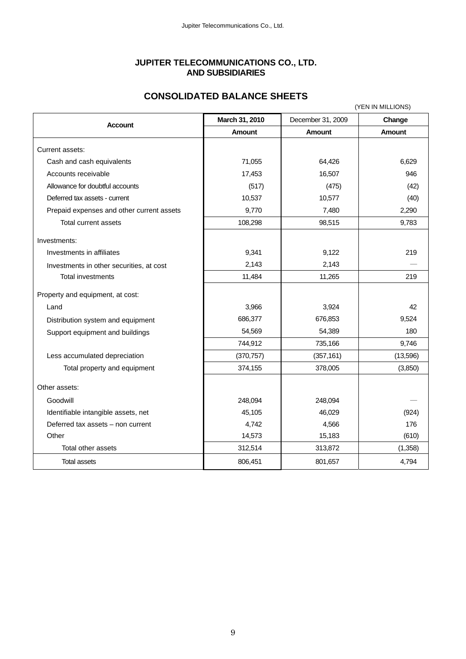## **JUPITER TELECOMMUNICATIONS CO., LTD. AND SUBSIDIARIES**

## **CONSOLIDATED BALANCE SHEETS**

| (YEN IN MILLIONS)                         |                |                   |               |  |
|-------------------------------------------|----------------|-------------------|---------------|--|
| <b>Account</b>                            | March 31, 2010 | December 31, 2009 | Change        |  |
|                                           | <b>Amount</b>  | <b>Amount</b>     | <b>Amount</b> |  |
| Current assets:                           |                |                   |               |  |
| Cash and cash equivalents                 | 71,055         | 64,426            | 6,629         |  |
| Accounts receivable                       | 17,453         | 16,507            | 946           |  |
| Allowance for doubtful accounts           | (517)          | (475)             | (42)          |  |
| Deferred tax assets - current             | 10,537         | 10,577            | (40)          |  |
| Prepaid expenses and other current assets | 9,770          | 7,480             | 2,290         |  |
| Total current assets                      | 108,298        | 98,515            | 9,783         |  |
| Investments:                              |                |                   |               |  |
| Investments in affiliates                 | 9,341          | 9,122             | 219           |  |
| Investments in other securities, at cost  | 2,143          | 2,143             |               |  |
| <b>Total investments</b>                  | 11,484         | 11,265            | 219           |  |
| Property and equipment, at cost:          |                |                   |               |  |
| Land                                      | 3,966          | 3,924             | 42            |  |
| Distribution system and equipment         | 686,377        | 676,853           | 9,524         |  |
| Support equipment and buildings           | 54,569         | 54,389            | 180           |  |
|                                           | 744,912        | 735,166           | 9,746         |  |
| Less accumulated depreciation             | (370, 757)     | (357, 161)        | (13,596)      |  |
| Total property and equipment              | 374,155        | 378,005           | (3,850)       |  |
| Other assets:                             |                |                   |               |  |
| Goodwill                                  | 248,094        | 248,094           |               |  |
| Identifiable intangible assets, net       | 45,105         | 46,029            | (924)         |  |
| Deferred tax assets - non current         | 4,742          | 4,566             | 176           |  |
| Other                                     | 14,573         | 15,183            | (610)         |  |
| Total other assets                        | 312,514        | 313,872           | (1,358)       |  |
| <b>Total assets</b>                       | 806,451        | 801,657           | 4,794         |  |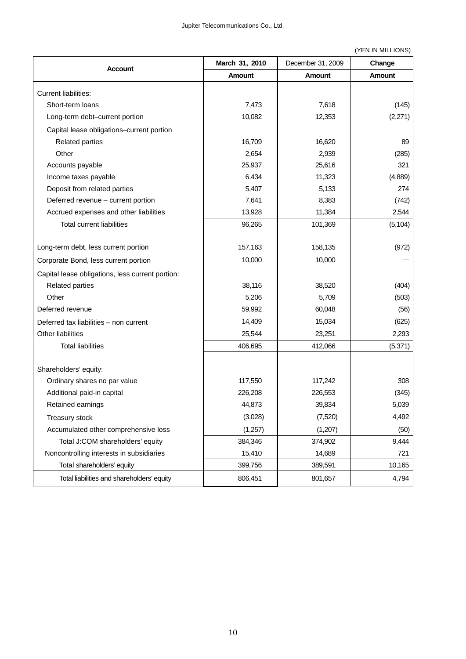#### (YEN IN MILLIONS)

| <b>Account</b>                                   | March 31, 2010 | December 31, 2009 | Change        |
|--------------------------------------------------|----------------|-------------------|---------------|
|                                                  | Amount         | Amount            | <b>Amount</b> |
| <b>Current liabilities:</b>                      |                |                   |               |
| Short-term loans                                 | 7,473          | 7,618             | (145)         |
| Long-term debt-current portion                   | 10,082         | 12,353            | (2,271)       |
| Capital lease obligations-current portion        |                |                   |               |
| <b>Related parties</b>                           | 16,709         | 16,620            | 89            |
| Other                                            | 2,654          | 2,939             | (285)         |
| Accounts payable                                 | 25,937         | 25,616            | 321           |
| Income taxes payable                             | 6,434          | 11,323            | (4,889)       |
| Deposit from related parties                     | 5,407          | 5,133             | 274           |
| Deferred revenue - current portion               | 7,641          | 8,383             | (742)         |
| Accrued expenses and other liabilities           | 13,928         | 11,384            | 2,544         |
| <b>Total current liabilities</b>                 | 96,265         | 101,369           | (5, 104)      |
|                                                  |                |                   |               |
| Long-term debt, less current portion             | 157,163        | 158,135           | (972)         |
| Corporate Bond, less current portion             | 10,000         | 10,000            |               |
| Capital lease obligations, less current portion: |                |                   |               |
| <b>Related parties</b>                           | 38,116         | 38,520            | (404)         |
| Other                                            | 5,206          | 5,709             | (503)         |
| Deferred revenue                                 | 59,992         | 60,048            | (56)          |
| Deferred tax liabilities - non current           | 14,409         | 15,034            | (625)         |
| Other liabilities                                | 25,544         | 23,251            | 2,293         |
| <b>Total liabilities</b>                         | 406,695        | 412,066           | (5,371)       |
|                                                  |                |                   |               |
| Shareholders' equity:                            |                |                   |               |
| Ordinary shares no par value                     | 117,550        | 117,242           | 308           |
| Additional paid-in capital                       | 226,208        | 226,553           | (345)         |
| Retained earnings                                | 44,873         | 39,834            | 5,039         |
| Treasury stock                                   | (3,028)        | (7,520)           | 4,492         |
| Accumulated other comprehensive loss             | (1,257)        | (1,207)           | (50)          |
| Total J:COM shareholders' equity                 | 384,346        | 374,902           | 9,444         |
| Noncontrolling interests in subsidiaries         | 15,410         | 14,689            | 721           |
| Total shareholders' equity                       | 399,756        | 389,591           | 10,165        |
| Total liabilities and shareholders' equity       | 806,451        | 801,657           | 4,794         |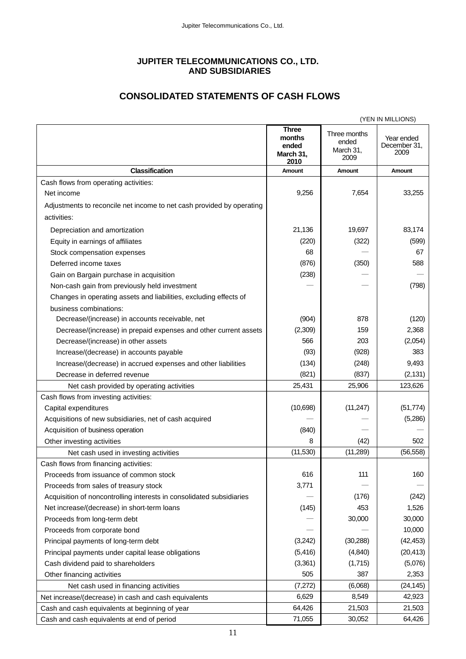## **JUPITER TELECOMMUNICATIONS CO., LTD. AND SUBSIDIARIES**

## **CONSOLIDATED STATEMENTS OF CASH FLOWS**

|                                                                       |                                                      |                                            | (YEN IN MILLIONS)                  |
|-----------------------------------------------------------------------|------------------------------------------------------|--------------------------------------------|------------------------------------|
|                                                                       | <b>Three</b><br>months<br>ended<br>March 31,<br>2010 | Three months<br>ended<br>March 31,<br>2009 | Year ended<br>December 31,<br>2009 |
| <b>Classification</b>                                                 | Amount                                               | Amount                                     | Amount                             |
| Cash flows from operating activities:                                 |                                                      |                                            |                                    |
| Net income                                                            | 9,256                                                | 7,654                                      | 33,255                             |
| Adjustments to reconcile net income to net cash provided by operating |                                                      |                                            |                                    |
| activities:                                                           |                                                      |                                            |                                    |
| Depreciation and amortization                                         | 21,136                                               | 19,697                                     | 83,174                             |
| Equity in earnings of affiliates                                      | (220)                                                | (322)                                      | (599)                              |
| Stock compensation expenses                                           | 68                                                   |                                            | 67                                 |
| Deferred income taxes                                                 | (876)                                                | (350)                                      | 588                                |
| Gain on Bargain purchase in acquisition                               | (238)                                                |                                            |                                    |
| Non-cash gain from previously held investment                         |                                                      |                                            | (798)                              |
| Changes in operating assets and liabilities, excluding effects of     |                                                      |                                            |                                    |
| business combinations:                                                |                                                      |                                            |                                    |
| Decrease/(increase) in accounts receivable, net                       | (904)                                                | 878                                        | (120)                              |
| Decrease/(increase) in prepaid expenses and other current assets      | (2,309)                                              | 159                                        | 2,368                              |
| Decrease/(increase) in other assets                                   | 566                                                  | 203                                        | (2,054)                            |
| Increase/(decrease) in accounts payable                               | (93)                                                 | (928)                                      | 383                                |
| Increase/(decrease) in accrued expenses and other liabilities         | (134)                                                | (248)                                      | 9,493                              |
| Decrease in deferred revenue                                          | (821)                                                | (837)                                      | (2, 131)                           |
| Net cash provided by operating activities                             | 25,431                                               | 25,906                                     | 123,626                            |
| Cash flows from investing activities:                                 |                                                      |                                            |                                    |
| Capital expenditures                                                  | (10,698)                                             | (11, 247)                                  | (51, 774)                          |
| Acquisitions of new subsidiaries, net of cash acquired                |                                                      |                                            | (5,286)                            |
| Acquisition of business operation                                     | (840)                                                |                                            |                                    |
| Other investing activities                                            | 8                                                    | (42)                                       | 502                                |
| Net cash used in investing activities                                 | (11,530)                                             | (11, 289)                                  | (56, 558)                          |
| Cash flows from financing activities:                                 |                                                      |                                            |                                    |
| Proceeds from issuance of common stock                                | 616                                                  | 111                                        | 160                                |
| Proceeds from sales of treasury stock                                 | 3,771                                                |                                            |                                    |
| Acquisition of noncontrolling interests in consolidated subsidiaries  |                                                      | (176)                                      | (242)                              |
| Net increase/(decrease) in short-term loans                           | (145)                                                | 453                                        | 1,526                              |
| Proceeds from long-term debt                                          |                                                      | 30,000                                     | 30,000                             |
| Proceeds from corporate bond                                          |                                                      |                                            | 10,000                             |
| Principal payments of long-term debt                                  | (3,242)                                              | (30, 288)                                  | (42, 453)                          |
| Principal payments under capital lease obligations                    | (5, 416)                                             | (4, 840)                                   | (20, 413)                          |
| Cash dividend paid to shareholders                                    | (3,361)                                              | (1,715)                                    | (5,076)                            |
| Other financing activities                                            | 505                                                  | 387                                        | 2,353                              |
| Net cash used in financing activities                                 | (7,272)                                              | (6,068)                                    | (24, 145)                          |
| Net increase/(decrease) in cash and cash equivalents                  | 6,629                                                | 8,549                                      | 42,923                             |
| Cash and cash equivalents at beginning of year                        | 64,426                                               | 21,503                                     | 21,503                             |
| Cash and cash equivalents at end of period                            | 71,055                                               | 30,052                                     | 64,426                             |